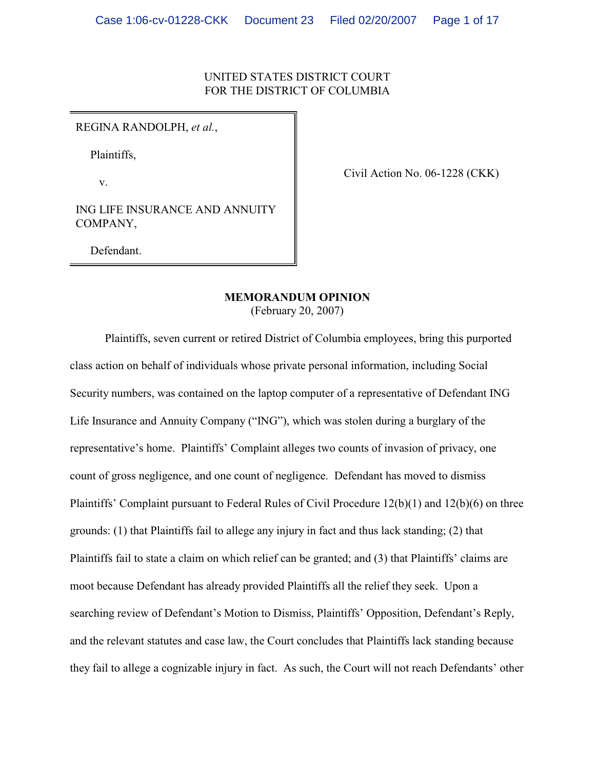### UNITED STATES DISTRICT COURT FOR THE DISTRICT OF COLUMBIA

REGINA RANDOLPH, *et al.*,

Plaintiffs,

v.

Civil Action No. 06-1228 (CKK)

ING LIFE INSURANCE AND ANNUITY COMPANY,

Defendant.

# **MEMORANDUM OPINION**

(February 20, 2007)

Plaintiffs, seven current or retired District of Columbia employees, bring this purported class action on behalf of individuals whose private personal information, including Social Security numbers, was contained on the laptop computer of a representative of Defendant ING Life Insurance and Annuity Company ("ING"), which was stolen during a burglary of the representative's home. Plaintiffs' Complaint alleges two counts of invasion of privacy, one count of gross negligence, and one count of negligence. Defendant has moved to dismiss Plaintiffs' Complaint pursuant to Federal Rules of Civil Procedure 12(b)(1) and 12(b)(6) on three grounds: (1) that Plaintiffs fail to allege any injury in fact and thus lack standing; (2) that Plaintiffs fail to state a claim on which relief can be granted; and (3) that Plaintiffs' claims are moot because Defendant has already provided Plaintiffs all the relief they seek. Upon a searching review of Defendant's Motion to Dismiss, Plaintiffs' Opposition, Defendant's Reply, and the relevant statutes and case law, the Court concludes that Plaintiffs lack standing because they fail to allege a cognizable injury in fact. As such, the Court will not reach Defendants' other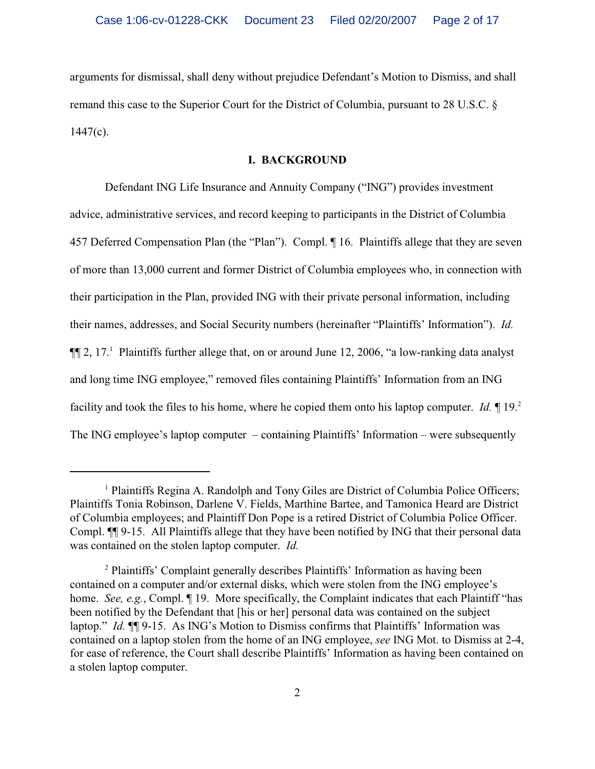arguments for dismissal, shall deny without prejudice Defendant's Motion to Dismiss, and shall remand this case to the Superior Court for the District of Columbia, pursuant to 28 U.S.C. §  $1447(c)$ .

#### **I. BACKGROUND**

Defendant ING Life Insurance and Annuity Company ("ING") provides investment advice, administrative services, and record keeping to participants in the District of Columbia 457 Deferred Compensation Plan (the "Plan"). Compl. ¶ 16. Plaintiffs allege that they are seven of more than 13,000 current and former District of Columbia employees who, in connection with their participation in the Plan, provided ING with their private personal information, including their names, addresses, and Social Security numbers (hereinafter "Plaintiffs' Information"). *Id.*  $\P$ [2, 17.<sup>1</sup> Plaintiffs further allege that, on or around June 12, 2006, "a low-ranking data analyst and long time ING employee," removed files containing Plaintiffs' Information from an ING facility and took the files to his home, where he copied them onto his laptop computer. *Id.*  $\P$  19.<sup>2</sup> The ING employee's laptop computer – containing Plaintiffs' Information – were subsequently

<sup>&</sup>lt;sup>1</sup> Plaintiffs Regina A. Randolph and Tony Giles are District of Columbia Police Officers; Plaintiffs Tonia Robinson, Darlene V. Fields, Marthine Bartee, and Tamonica Heard are District of Columbia employees; and Plaintiff Don Pope is a retired District of Columbia Police Officer. Compl. ¶¶ 9-15. All Plaintiffs allege that they have been notified by ING that their personal data was contained on the stolen laptop computer. *Id.*

<sup>&</sup>lt;sup>2</sup> Plaintiffs' Complaint generally describes Plaintiffs' Information as having been contained on a computer and/or external disks, which were stolen from the ING employee's home. *See, e.g.*, Compl. *[19. More specifically, the Complaint indicates that each Plaintiff "has* been notified by the Defendant that [his or her] personal data was contained on the subject laptop." *Id.* ¶¶ 9-15. As ING's Motion to Dismiss confirms that Plaintiffs' Information was contained on a laptop stolen from the home of an ING employee, *see* ING Mot. to Dismiss at 2-4, for ease of reference, the Court shall describe Plaintiffs' Information as having been contained on a stolen laptop computer.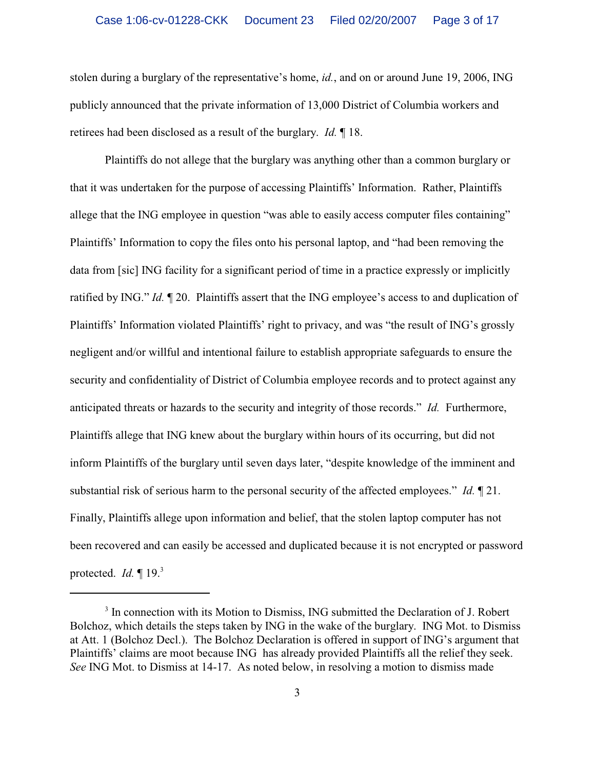stolen during a burglary of the representative's home, *id.*, and on or around June 19, 2006, ING publicly announced that the private information of 13,000 District of Columbia workers and retirees had been disclosed as a result of the burglary. *Id.* ¶ 18.

Plaintiffs do not allege that the burglary was anything other than a common burglary or that it was undertaken for the purpose of accessing Plaintiffs' Information. Rather, Plaintiffs allege that the ING employee in question "was able to easily access computer files containing" Plaintiffs' Information to copy the files onto his personal laptop, and "had been removing the data from [sic] ING facility for a significant period of time in a practice expressly or implicitly ratified by ING." *Id.* ¶ 20. Plaintiffs assert that the ING employee's access to and duplication of Plaintiffs' Information violated Plaintiffs' right to privacy, and was "the result of ING's grossly negligent and/or willful and intentional failure to establish appropriate safeguards to ensure the security and confidentiality of District of Columbia employee records and to protect against any anticipated threats or hazards to the security and integrity of those records." *Id.* Furthermore, Plaintiffs allege that ING knew about the burglary within hours of its occurring, but did not inform Plaintiffs of the burglary until seven days later, "despite knowledge of the imminent and substantial risk of serious harm to the personal security of the affected employees." *Id.* ¶ 21. Finally, Plaintiffs allege upon information and belief, that the stolen laptop computer has not been recovered and can easily be accessed and duplicated because it is not encrypted or password protected. *Id.* ¶ 19.<sup>3</sup>

<sup>&</sup>lt;sup>3</sup> In connection with its Motion to Dismiss, ING submitted the Declaration of J. Robert Bolchoz, which details the steps taken by ING in the wake of the burglary. ING Mot. to Dismiss at Att. 1 (Bolchoz Decl.). The Bolchoz Declaration is offered in support of ING's argument that Plaintiffs' claims are moot because ING has already provided Plaintiffs all the relief they seek. *See* ING Mot. to Dismiss at 14-17. As noted below, in resolving a motion to dismiss made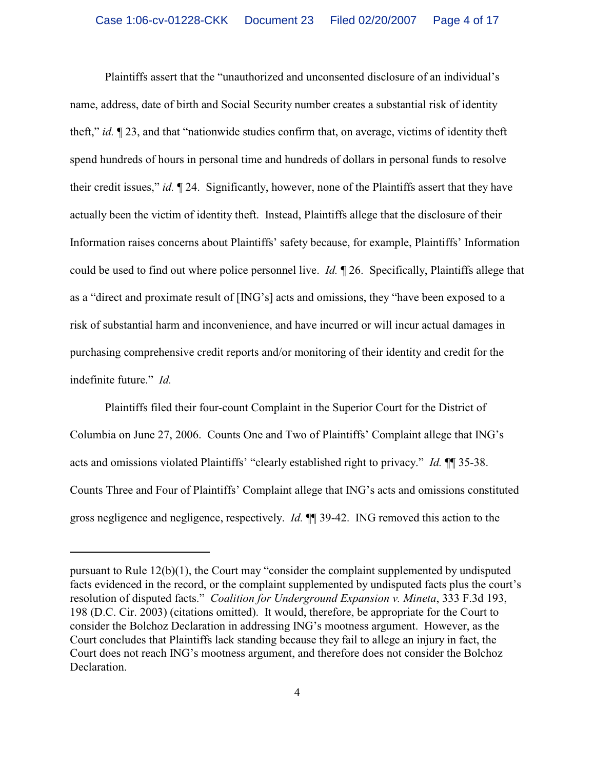Plaintiffs assert that the "unauthorized and unconsented disclosure of an individual's name, address, date of birth and Social Security number creates a substantial risk of identity theft," *id.* ¶ 23, and that "nationwide studies confirm that, on average, victims of identity theft spend hundreds of hours in personal time and hundreds of dollars in personal funds to resolve their credit issues," *id.* ¶ 24.Significantly, however, none of the Plaintiffs assert that they have actually been the victim of identity theft. Instead, Plaintiffs allege that the disclosure of their Information raises concerns about Plaintiffs' safety because, for example, Plaintiffs' Information could be used to find out where police personnel live. *Id.* ¶ 26. Specifically, Plaintiffs allege that as a "direct and proximate result of [ING's] acts and omissions, they "have been exposed to a risk of substantial harm and inconvenience, and have incurred or will incur actual damages in purchasing comprehensive credit reports and/or monitoring of their identity and credit for the indefinite future." *Id.*

Plaintiffs filed their four-count Complaint in the Superior Court for the District of Columbia on June 27, 2006. Counts One and Two of Plaintiffs' Complaint allege that ING's acts and omissions violated Plaintiffs' "clearly established right to privacy." *Id.* ¶¶ 35-38. Counts Three and Four of Plaintiffs' Complaint allege that ING's acts and omissions constituted gross negligence and negligence, respectively. *Id.* ¶¶ 39-42.ING removed this action to the

pursuant to Rule 12(b)(1), the Court may "consider the complaint supplemented by undisputed facts evidenced in the record, or the complaint supplemented by undisputed facts plus the court's resolution of disputed facts." *Coalition for Underground Expansion v. Mineta*, 333 F.3d 193, 198 (D.C. Cir. 2003) (citations omitted). It would, therefore, be appropriate for the Court to consider the Bolchoz Declaration in addressing ING's mootness argument. However, as the Court concludes that Plaintiffs lack standing because they fail to allege an injury in fact, the Court does not reach ING's mootness argument, and therefore does not consider the Bolchoz Declaration.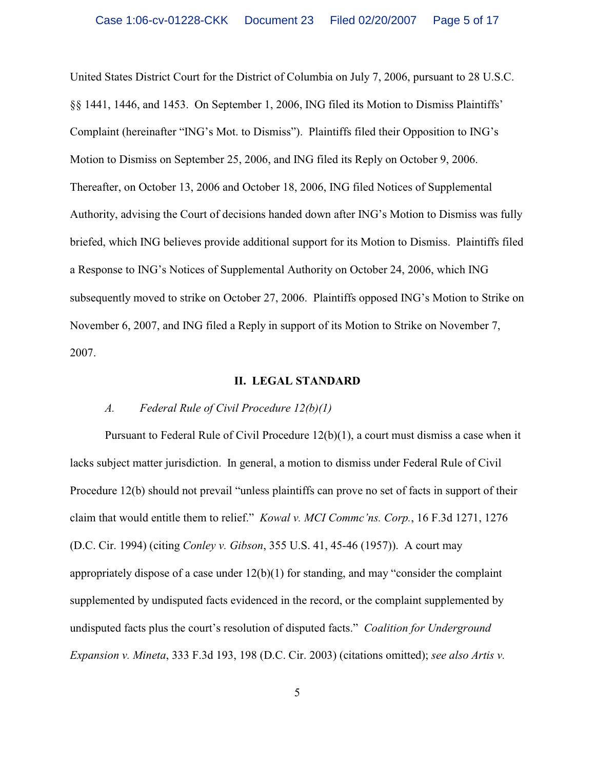United States District Court for the District of Columbia on July 7, 2006, pursuant to 28 U.S.C. §§ 1441, 1446, and 1453. On September 1, 2006, ING filed its Motion to Dismiss Plaintiffs' Complaint (hereinafter "ING's Mot. to Dismiss"). Plaintiffs filed their Opposition to ING's Motion to Dismiss on September 25, 2006, and ING filed its Reply on October 9, 2006. Thereafter, on October 13, 2006 and October 18, 2006, ING filed Notices of Supplemental Authority, advising the Court of decisions handed down after ING's Motion to Dismiss was fully briefed, which ING believes provide additional support for its Motion to Dismiss. Plaintiffs filed a Response to ING's Notices of Supplemental Authority on October 24, 2006, which ING subsequently moved to strike on October 27, 2006. Plaintiffs opposed ING's Motion to Strike on November 6, 2007, and ING filed a Reply in support of its Motion to Strike on November 7, 2007.

#### **II. LEGAL STANDARD**

#### *A. Federal Rule of Civil Procedure 12(b)(1)*

Pursuant to Federal Rule of Civil Procedure 12(b)(1), a court must dismiss a case when it lacks subject matter jurisdiction. In general, a motion to dismiss under Federal Rule of Civil Procedure 12(b) should not prevail "unless plaintiffs can prove no set of facts in support of their claim that would entitle them to relief." *Kowal v. MCI Commc'ns. Corp.*, 16 F.3d 1271, 1276 (D.C. Cir. 1994) (citing *Conley v. Gibson*, 355 U.S. 41, 45-46 (1957)). A court may appropriately dispose of a case under 12(b)(1) for standing, and may "consider the complaint supplemented by undisputed facts evidenced in the record, or the complaint supplemented by undisputed facts plus the court's resolution of disputed facts." *Coalition for Underground Expansion v. Mineta*, 333 F.3d 193, 198 (D.C. Cir. 2003) (citations omitted); *see also Artis v.*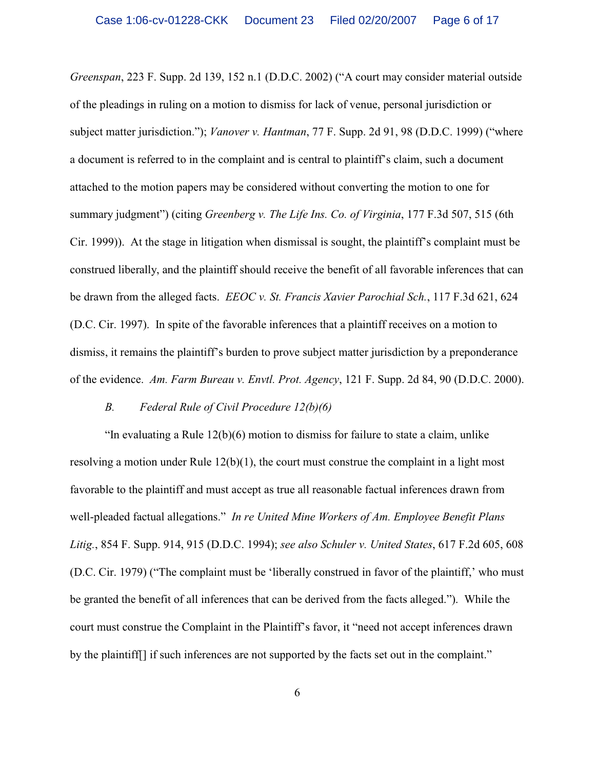*Greenspan*, 223 F. Supp. 2d 139, 152 n.1 (D.D.C. 2002) ("A court may consider material outside of the pleadings in ruling on a motion to dismiss for lack of venue, personal jurisdiction or subject matter jurisdiction."); *Vanover v. Hantman*, 77 F. Supp. 2d 91, 98 (D.D.C. 1999) ("where a document is referred to in the complaint and is central to plaintiff's claim, such a document attached to the motion papers may be considered without converting the motion to one for summary judgment") (citing *Greenberg v. The Life Ins. Co. of Virginia*, 177 F.3d 507, 515 (6th Cir. 1999)). At the stage in litigation when dismissal is sought, the plaintiff's complaint must be construed liberally, and the plaintiff should receive the benefit of all favorable inferences that can be drawn from the alleged facts. *EEOC v. St. Francis Xavier Parochial Sch.*, 117 F.3d 621, 624 (D.C. Cir. 1997). In spite of the favorable inferences that a plaintiff receives on a motion to dismiss, it remains the plaintiff's burden to prove subject matter jurisdiction by a preponderance of the evidence. *Am. Farm Bureau v. Envtl. Prot. Agency*, 121 F. Supp. 2d 84, 90 (D.D.C. 2000).

#### *B. Federal Rule of Civil Procedure 12(b)(6)*

"In evaluating a Rule 12(b)(6) motion to dismiss for failure to state a claim, unlike resolving a motion under Rule  $12(b)(1)$ , the court must construe the complaint in a light most favorable to the plaintiff and must accept as true all reasonable factual inferences drawn from well-pleaded factual allegations." *In re United Mine Workers of Am. Employee Benefit Plans Litig.*, 854 F. Supp. 914, 915 (D.D.C. 1994); *see also Schuler v. United States*, 617 F.2d 605, 608 (D.C. Cir. 1979) ("The complaint must be 'liberally construed in favor of the plaintiff,' who must be granted the benefit of all inferences that can be derived from the facts alleged."). While the court must construe the Complaint in the Plaintiff's favor, it "need not accept inferences drawn by the plaintiff[] if such inferences are not supported by the facts set out in the complaint."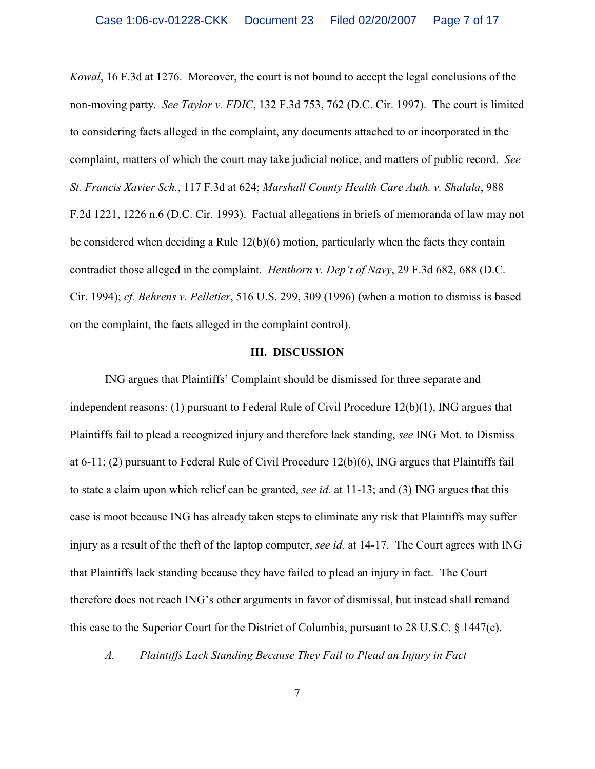*Kowal*, 16 F.3d at 1276. Moreover, the court is not bound to accept the legal conclusions of the non-moving party. *See Taylor v. FDIC*, 132 F.3d 753, 762 (D.C. Cir. 1997). The court is limited to considering facts alleged in the complaint, any documents attached to or incorporated in the complaint, matters of which the court may take judicial notice, and matters of public record. *See St. Francis Xavier Sch.*, 117 F.3d at 624; *Marshall County Health Care Auth. v. Shalala*, 988 F.2d 1221, 1226 n.6 (D.C. Cir. 1993). Factual allegations in briefs of memoranda of law may not be considered when deciding a Rule 12(b)(6) motion, particularly when the facts they contain contradict those alleged in the complaint. *Henthorn v. Dep't of Navy*, 29 F.3d 682, 688 (D.C. Cir. 1994); *cf. Behrens v. Pelletier*, 516 U.S. 299, 309 (1996) (when a motion to dismiss is based on the complaint, the facts alleged in the complaint control).

#### **III. DISCUSSION**

ING argues that Plaintiffs' Complaint should be dismissed for three separate and independent reasons: (1) pursuant to Federal Rule of Civil Procedure 12(b)(1), ING argues that Plaintiffs fail to plead a recognized injury and therefore lack standing, *see* ING Mot. to Dismiss at 6-11; (2) pursuant to Federal Rule of Civil Procedure 12(b)(6), ING argues that Plaintiffs fail to state a claim upon which relief can be granted, *see id.* at 11-13; and (3) ING argues that this case is moot because ING has already taken steps to eliminate any risk that Plaintiffs may suffer injury as a result of the theft of the laptop computer, *see id.* at 14-17.The Court agrees with ING that Plaintiffs lack standing because they have failed to plead an injury in fact. The Court therefore does not reach ING's other arguments in favor of dismissal, but instead shall remand this case to the Superior Court for the District of Columbia, pursuant to 28 U.S.C. § 1447(c).

*A. Plaintiffs Lack Standing Because They Fail to Plead an Injury in Fact*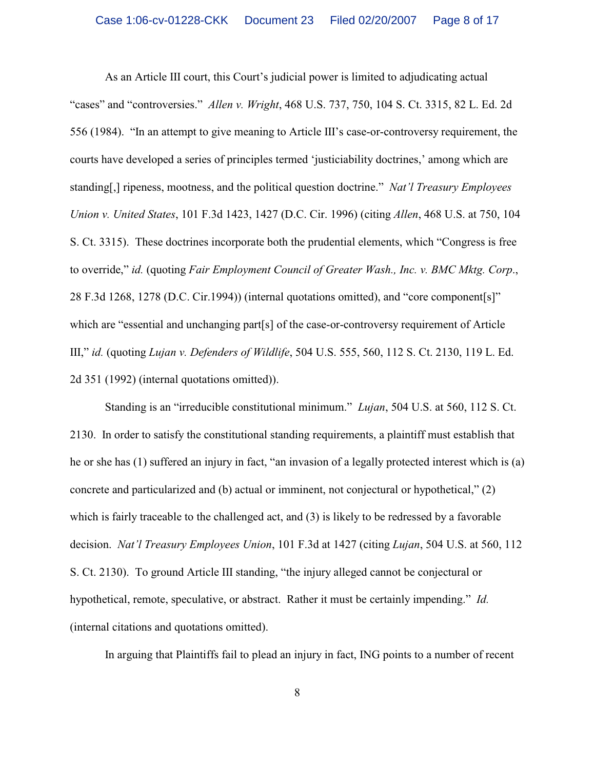As an Article III court, this Court's judicial power is limited to adjudicating actual "cases" and "controversies." *Allen v. Wright*, 468 U.S. 737, 750, 104 S. Ct. 3315, 82 L. Ed. 2d 556 (1984). "In an attempt to give meaning to Article III's case-or-controversy requirement, the courts have developed a series of principles termed 'justiciability doctrines,' among which are standing[,] ripeness, mootness, and the political question doctrine." *Nat'l Treasury Employees Union v. United States*, 101 F.3d 1423, 1427 (D.C. Cir. 1996) (citing *Allen*, 468 U.S. at 750, 104 S. Ct. 3315). These doctrines incorporate both the prudential elements, which "Congress is free to override," *id.* (quoting *Fair Employment Council of Greater Wash., Inc. v. BMC Mktg. Corp*., 28 F.3d 1268, 1278 (D.C. Cir.1994)) (internal quotations omitted), and "core component[s]" which are "essential and unchanging part[s] of the case-or-controversy requirement of Article III," *id.* (quoting *Lujan v. Defenders of Wildlife*, 504 U.S. 555, 560, 112 S. Ct. 2130, 119 L. Ed. 2d 351 (1992) (internal quotations omitted)).

Standing is an "irreducible constitutional minimum." *Lujan*, 504 U.S. at 560, 112 S. Ct. 2130. In order to satisfy the constitutional standing requirements, a plaintiff must establish that he or she has (1) suffered an injury in fact, "an invasion of a legally protected interest which is (a) concrete and particularized and (b) actual or imminent, not conjectural or hypothetical," (2) which is fairly traceable to the challenged act, and (3) is likely to be redressed by a favorable decision. *Nat'l Treasury Employees Union*, 101 F.3d at 1427 (citing *Lujan*, 504 U.S. at 560, 112 S. Ct. 2130). To ground Article III standing, "the injury alleged cannot be conjectural or hypothetical, remote, speculative, or abstract. Rather it must be certainly impending." *Id.* (internal citations and quotations omitted).

In arguing that Plaintiffs fail to plead an injury in fact, ING points to a number of recent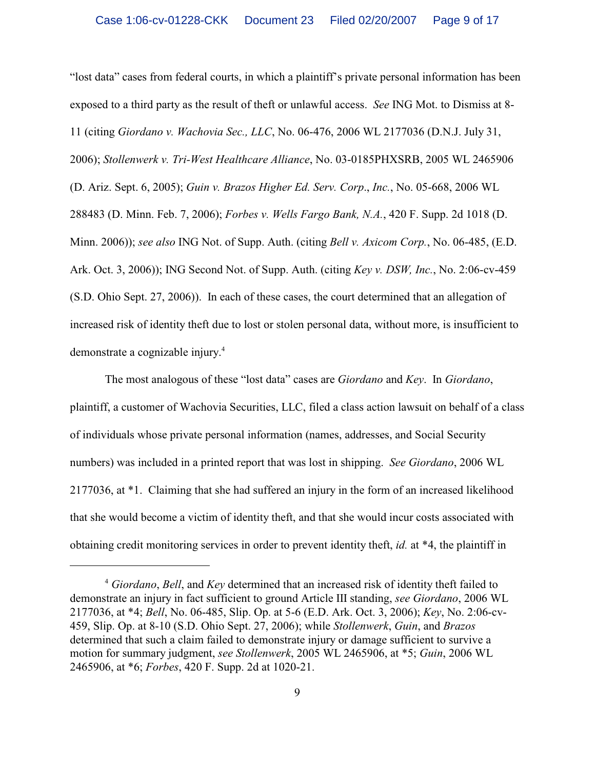"lost data" cases from federal courts, in which a plaintiff's private personal information has been exposed to a third party as the result of theft or unlawful access. *See* ING Mot. to Dismiss at 8- 11 (citing *Giordano v. Wachovia Sec., LLC*, No. 06-476, 2006 WL 2177036 (D.N.J. July 31, 2006); *Stollenwerk v. Tri-West Healthcare Alliance*, No. 03-0185PHXSRB, 2005 WL 2465906 (D. Ariz. Sept. 6, 2005); *Guin v. Brazos Higher Ed. Serv. Corp*., *Inc.*, No. 05-668, 2006 WL 288483 (D. Minn. Feb. 7, 2006); *Forbes v. Wells Fargo Bank, N.A.*, 420 F. Supp. 2d 1018 (D. Minn. 2006)); *see also* ING Not. of Supp. Auth. (citing *Bell v. Axicom Corp.*, No. 06-485, (E.D. Ark. Oct. 3, 2006)); ING Second Not. of Supp. Auth. (citing *Key v. DSW, Inc.*, No. 2:06-cv-459 (S.D. Ohio Sept. 27, 2006)). In each of these cases, the court determined that an allegation of increased risk of identity theft due to lost or stolen personal data, without more, is insufficient to demonstrate a cognizable injury.<sup>4</sup>

The most analogous of these "lost data" cases are *Giordano* and *Key*. In *Giordano*, plaintiff, a customer of Wachovia Securities, LLC, filed a class action lawsuit on behalf of a class of individuals whose private personal information (names, addresses, and Social Security numbers) was included in a printed report that was lost in shipping. *See Giordano*, 2006 WL 2177036, at \*1. Claiming that she had suffered an injury in the form of an increased likelihood that she would become a victim of identity theft, and that she would incur costs associated with obtaining credit monitoring services in order to prevent identity theft, *id.* at \*4, the plaintiff in

*Giordano*, *Bell*, and *Key* determined that an increased risk of identity theft failed to <sup>4</sup> demonstrate an injury in fact sufficient to ground Article III standing, *see Giordano*, 2006 WL 2177036, at \*4; *Bell*, No. 06-485, Slip. Op. at 5-6 (E.D. Ark. Oct. 3, 2006); *Key*, No. 2:06-cv-459, Slip. Op. at 8-10 (S.D. Ohio Sept. 27, 2006); while *Stollenwerk*, *Guin*, and *Brazos* determined that such a claim failed to demonstrate injury or damage sufficient to survive a motion for summary judgment, *see Stollenwerk*, 2005 WL 2465906, at \*5; *Guin*, 2006 WL 2465906, at \*6; *Forbes*, 420 F. Supp. 2d at 1020-21.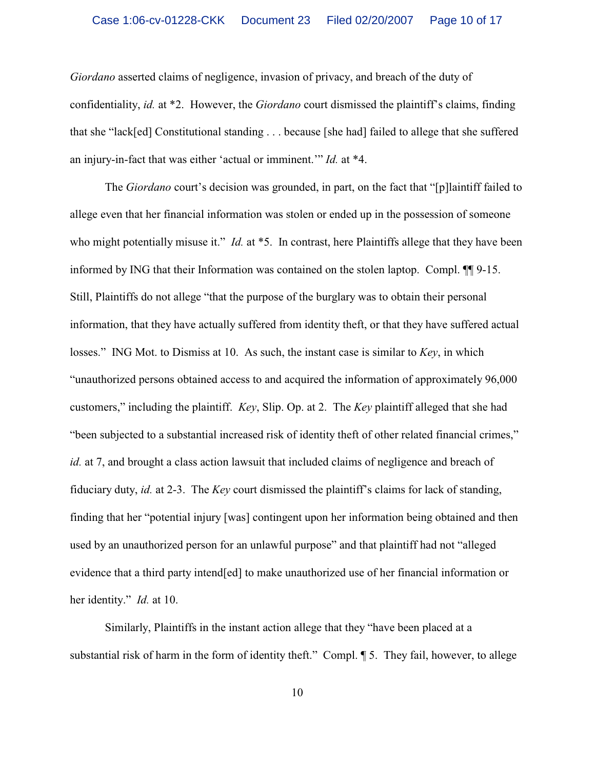*Giordano* asserted claims of negligence, invasion of privacy, and breach of the duty of confidentiality, *id.* at \*2. However, the *Giordano* court dismissed the plaintiff's claims, finding that she "lack[ed] Constitutional standing . . . because [she had] failed to allege that she suffered an injury-in-fact that was either 'actual or imminent.'" *Id.* at \*4.

The *Giordano* court's decision was grounded, in part, on the fact that "[p]laintiff failed to allege even that her financial information was stolen or ended up in the possession of someone who might potentially misuse it." *Id.* at \*5. In contrast, here Plaintiffs allege that they have been informed by ING that their Information was contained on the stolen laptop. Compl. ¶¶ 9-15. Still, Plaintiffs do not allege "that the purpose of the burglary was to obtain their personal information, that they have actually suffered from identity theft, or that they have suffered actual losses." ING Mot. to Dismiss at 10. As such, the instant case is similar to *Key*, in which "unauthorized persons obtained access to and acquired the information of approximately 96,000 customers," including the plaintiff. *Key*, Slip. Op. at 2. The *Key* plaintiff alleged that she had "been subjected to a substantial increased risk of identity theft of other related financial crimes," *id.* at 7, and brought a class action lawsuit that included claims of negligence and breach of fiduciary duty, *id.* at 2-3.The *Key* court dismissed the plaintiff's claims for lack of standing, finding that her "potential injury [was] contingent upon her information being obtained and then used by an unauthorized person for an unlawful purpose" and that plaintiff had not "alleged evidence that a third party intend[ed] to make unauthorized use of her financial information or her identity." *Id.* at 10.

Similarly, Plaintiffs in the instant action allege that they "have been placed at a substantial risk of harm in the form of identity theft." Compl. ¶ 5. They fail, however, to allege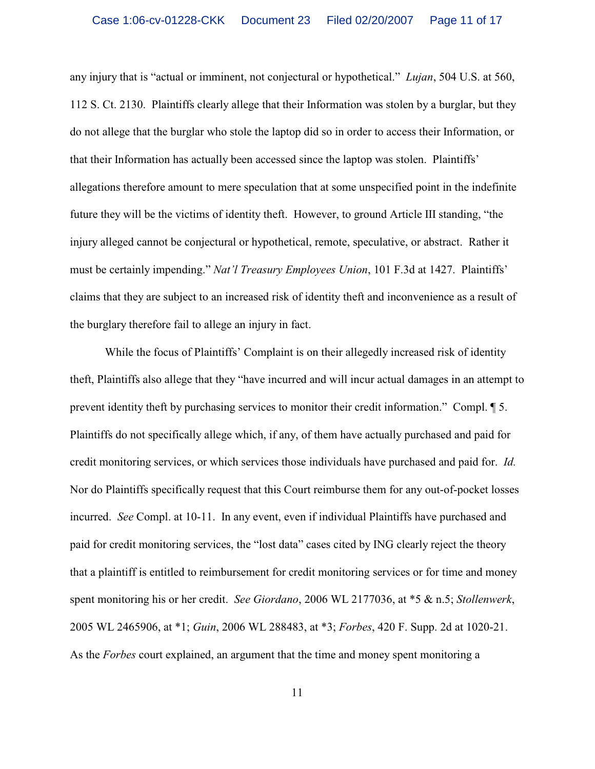any injury that is "actual or imminent, not conjectural or hypothetical." *Lujan*, 504 U.S. at 560, 112 S. Ct. 2130. Plaintiffs clearly allege that their Information was stolen by a burglar, but they do not allege that the burglar who stole the laptop did so in order to access their Information, or that their Information has actually been accessed since the laptop was stolen. Plaintiffs' allegations therefore amount to mere speculation that at some unspecified point in the indefinite future they will be the victims of identity theft. However, to ground Article III standing, "the injury alleged cannot be conjectural or hypothetical, remote, speculative, or abstract. Rather it must be certainly impending." *Nat'l Treasury Employees Union*, 101 F.3d at 1427. Plaintiffs' claims that they are subject to an increased risk of identity theft and inconvenience as a result of the burglary therefore fail to allege an injury in fact.

While the focus of Plaintiffs' Complaint is on their allegedly increased risk of identity theft, Plaintiffs also allege that they "have incurred and will incur actual damages in an attempt to prevent identity theft by purchasing services to monitor their credit information." Compl. ¶ 5. Plaintiffs do not specifically allege which, if any, of them have actually purchased and paid for credit monitoring services, or which services those individuals have purchased and paid for. *Id.*  Nor do Plaintiffs specifically request that this Court reimburse them for any out-of-pocket losses incurred. *See* Compl. at 10-11. In any event, even if individual Plaintiffs have purchased and paid for credit monitoring services, the "lost data" cases cited by ING clearly reject the theory that a plaintiff is entitled to reimbursement for credit monitoring services or for time and money spent monitoring his or her credit. *See Giordano*, 2006 WL 2177036, at \*5 & n.5; *Stollenwerk*, 2005 WL 2465906, at \*1; *Guin*, 2006 WL 288483, at \*3; *Forbes*, 420 F. Supp. 2d at 1020-21. As the *Forbes* court explained, an argument that the time and money spent monitoring a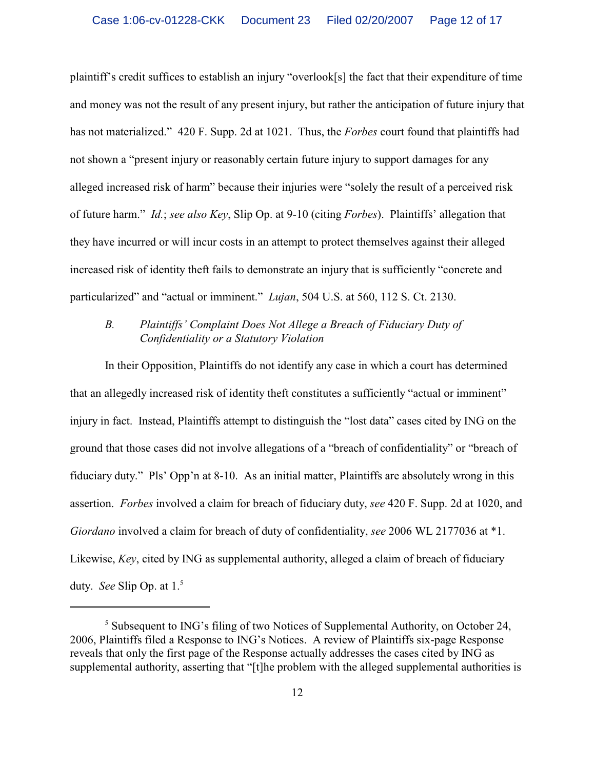plaintiff's credit suffices to establish an injury "overlook[s] the fact that their expenditure of time and money was not the result of any present injury, but rather the anticipation of future injury that has not materialized." 420 F. Supp. 2d at 1021. Thus, the *Forbes* court found that plaintiffs had not shown a "present injury or reasonably certain future injury to support damages for any alleged increased risk of harm" because their injuries were "solely the result of a perceived risk of future harm." *Id.*; *see also Key*, Slip Op. at 9-10 (citing *Forbes*). Plaintiffs' allegation that they have incurred or will incur costs in an attempt to protect themselves against their alleged increased risk of identity theft fails to demonstrate an injury that is sufficiently "concrete and particularized" and "actual or imminent." *Lujan*, 504 U.S. at 560, 112 S. Ct. 2130.

## *B. Plaintiffs' Complaint Does Not Allege a Breach of Fiduciary Duty of Confidentiality or a Statutory Violation*

 In their Opposition, Plaintiffs do not identify any case in which a court has determined that an allegedly increased risk of identity theft constitutes a sufficiently "actual or imminent" injury in fact. Instead, Plaintiffs attempt to distinguish the "lost data" cases cited by ING on the ground that those cases did not involve allegations of a "breach of confidentiality" or "breach of fiduciary duty." Pls' Opp'n at 8-10. As an initial matter, Plaintiffs are absolutely wrong in this assertion. *Forbes* involved a claim for breach of fiduciary duty, *see* 420 F. Supp. 2d at 1020, and *Giordano* involved a claim for breach of duty of confidentiality, *see* 2006 WL 2177036 at \*1. Likewise, *Key*, cited by ING as supplemental authority, alleged a claim of breach of fiduciary duty. *See* Slip Op. at 1.<sup>5</sup>

 $<sup>5</sup>$  Subsequent to ING's filing of two Notices of Supplemental Authority, on October 24,</sup> 2006, Plaintiffs filed a Response to ING's Notices. A review of Plaintiffs six-page Response reveals that only the first page of the Response actually addresses the cases cited by ING as supplemental authority, asserting that "[t]he problem with the alleged supplemental authorities is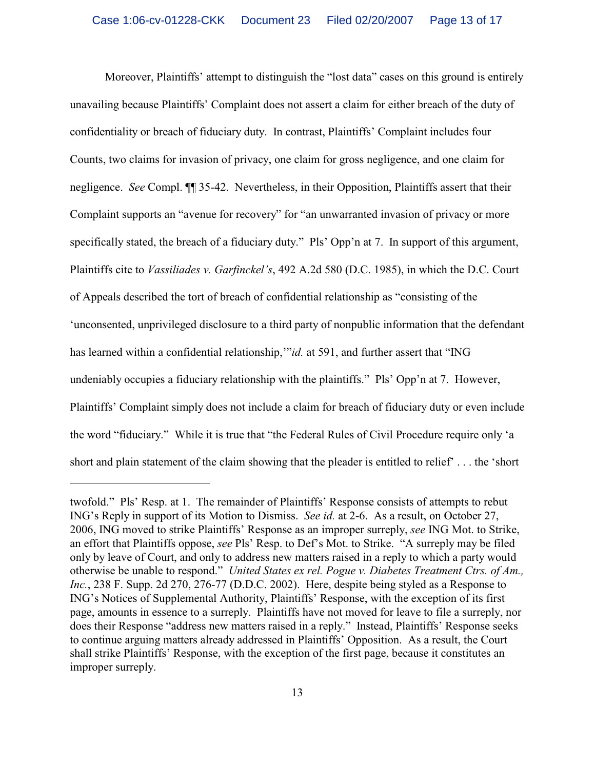Moreover, Plaintiffs' attempt to distinguish the "lost data" cases on this ground is entirely unavailing because Plaintiffs' Complaint does not assert a claim for either breach of the duty of confidentiality or breach of fiduciary duty. In contrast, Plaintiffs' Complaint includes four Counts, two claims for invasion of privacy, one claim for gross negligence, and one claim for negligence. *See* Compl. ¶¶ 35-42. Nevertheless, in their Opposition, Plaintiffs assert that their Complaint supports an "avenue for recovery" for "an unwarranted invasion of privacy or more specifically stated, the breach of a fiduciary duty." Pls' Opp'n at 7. In support of this argument, Plaintiffs cite to *Vassiliades v. Garfinckel's*, 492 A.2d 580 (D.C. 1985), in which the D.C. Court of Appeals described the tort of breach of confidential relationship as "consisting of the 'unconsented, unprivileged disclosure to a third party of nonpublic information that the defendant has learned within a confidential relationship,"*id.* at 591, and further assert that "ING undeniably occupies a fiduciary relationship with the plaintiffs." Pls' Opp'n at 7. However, Plaintiffs' Complaint simply does not include a claim for breach of fiduciary duty or even include the word "fiduciary." While it is true that "the Federal Rules of Civil Procedure require only 'a short and plain statement of the claim showing that the pleader is entitled to relief' . . . the 'short

twofold." Pls' Resp. at 1. The remainder of Plaintiffs' Response consists of attempts to rebut ING's Reply in support of its Motion to Dismiss. *See id.* at 2-6. As a result, on October 27, 2006, ING moved to strike Plaintiffs' Response as an improper surreply, *see* ING Mot. to Strike, an effort that Plaintiffs oppose, *see* Pls' Resp. to Def's Mot. to Strike. "A surreply may be filed only by leave of Court, and only to address new matters raised in a reply to which a party would otherwise be unable to respond." *United States ex rel. Pogue v. Diabetes Treatment Ctrs. of Am., Inc.*, 238 F. Supp. 2d 270, 276-77 (D.D.C. 2002). Here, despite being styled as a Response to ING's Notices of Supplemental Authority, Plaintiffs' Response, with the exception of its first page, amounts in essence to a surreply. Plaintiffs have not moved for leave to file a surreply, nor does their Response "address new matters raised in a reply." Instead, Plaintiffs' Response seeks to continue arguing matters already addressed in Plaintiffs' Opposition. As a result, the Court shall strike Plaintiffs' Response, with the exception of the first page, because it constitutes an improper surreply.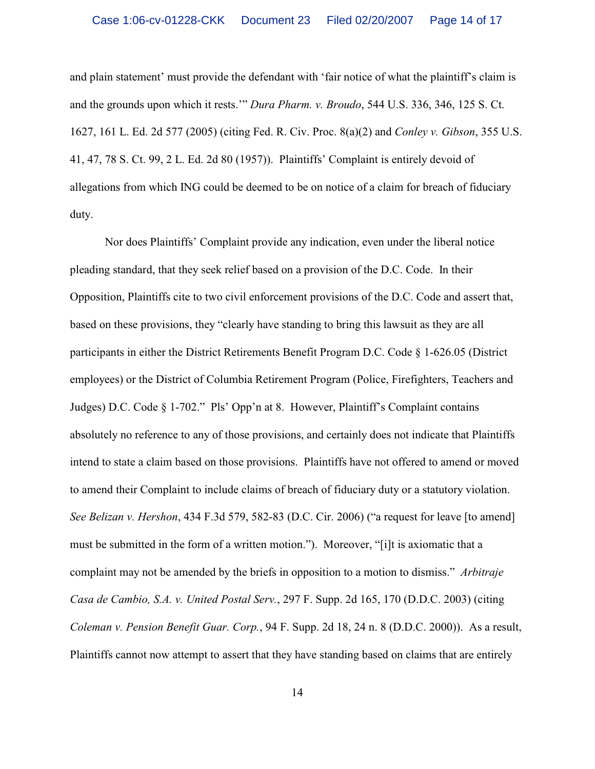and plain statement' must provide the defendant with 'fair notice of what the plaintiff's claim is and the grounds upon which it rests.'" *Dura Pharm. v. Broudo*, 544 U.S. 336, 346, 125 S. Ct. 1627, 161 L. Ed. 2d 577 (2005) (citing Fed. R. Civ. Proc. 8(a)(2) and *Conley v. Gibson*, 355 U.S. 41, 47, 78 S. Ct. 99, 2 L. Ed. 2d 80 (1957)). Plaintiffs' Complaint is entirely devoid of allegations from which ING could be deemed to be on notice of a claim for breach of fiduciary duty.

Nor does Plaintiffs' Complaint provide any indication, even under the liberal notice pleading standard, that they seek relief based on a provision of the D.C. Code. In their Opposition, Plaintiffs cite to two civil enforcement provisions of the D.C. Code and assert that, based on these provisions, they "clearly have standing to bring this lawsuit as they are all participants in either the District Retirements Benefit Program D.C. Code § 1-626.05 (District employees) or the District of Columbia Retirement Program (Police, Firefighters, Teachers and Judges) D.C. Code § 1-702." Pls' Opp'n at 8. However, Plaintiff's Complaint contains absolutely no reference to any of those provisions, and certainly does not indicate that Plaintiffs intend to state a claim based on those provisions. Plaintiffs have not offered to amend or moved to amend their Complaint to include claims of breach of fiduciary duty or a statutory violation. *See Belizan v. Hershon*, 434 F.3d 579, 582-83 (D.C. Cir. 2006) ("a request for leave [to amend] must be submitted in the form of a written motion."). Moreover, "[i]t is axiomatic that a complaint may not be amended by the briefs in opposition to a motion to dismiss." *Arbitraje Casa de Cambio, S.A. v. United Postal Serv.*, 297 F. Supp. 2d 165, 170 (D.D.C. 2003) (citing *Coleman v. Pension Benefit Guar. Corp.*, 94 F. Supp. 2d 18, 24 n. 8 (D.D.C. 2000)). As a result, Plaintiffs cannot now attempt to assert that they have standing based on claims that are entirely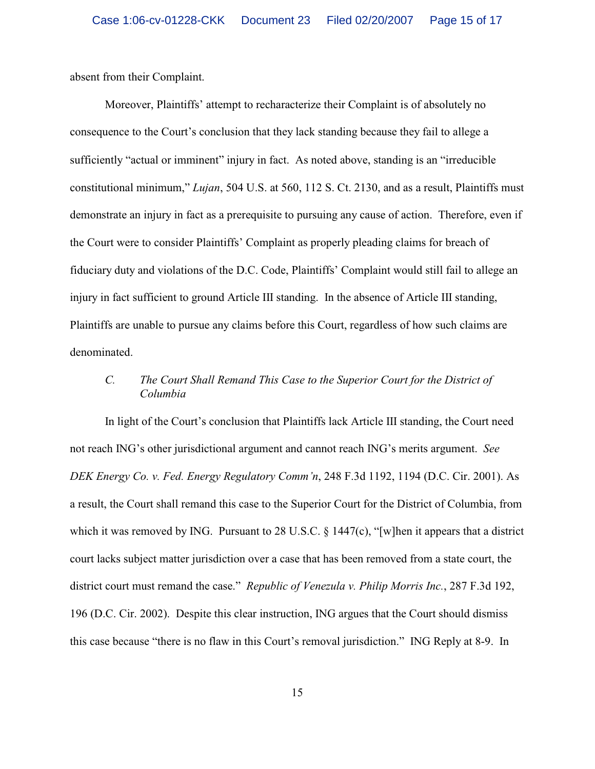absent from their Complaint.

Moreover, Plaintiffs' attempt to recharacterize their Complaint is of absolutely no consequence to the Court's conclusion that they lack standing because they fail to allege a sufficiently "actual or imminent" injury in fact.As noted above, standing is an "irreducible constitutional minimum," *Lujan*, 504 U.S. at 560, 112 S. Ct. 2130, and as a result, Plaintiffs must demonstrate an injury in fact as a prerequisite to pursuing any cause of action. Therefore, even if the Court were to consider Plaintiffs' Complaint as properly pleading claims for breach of fiduciary duty and violations of the D.C. Code, Plaintiffs' Complaint would still fail to allege an injury in fact sufficient to ground Article III standing. In the absence of Article III standing, Plaintiffs are unable to pursue any claims before this Court, regardless of how such claims are denominated.

## *C. The Court Shall Remand This Case to the Superior Court for the District of Columbia*

In light of the Court's conclusion that Plaintiffs lack Article III standing, the Court need not reach ING's other jurisdictional argument and cannot reach ING's merits argument. *See DEK Energy Co. v. Fed. Energy Regulatory Comm'n*, 248 F.3d 1192, 1194 (D.C. Cir. 2001). As a result, the Court shall remand this case to the Superior Court for the District of Columbia, from which it was removed by ING. Pursuant to 28 U.S.C. § 1447(c), "[w]hen it appears that a district court lacks subject matter jurisdiction over a case that has been removed from a state court, the district court must remand the case." *Republic of Venezula v. Philip Morris Inc.*, 287 F.3d 192, 196 (D.C. Cir. 2002). Despite this clear instruction, ING argues that the Court should dismiss this case because "there is no flaw in this Court's removal jurisdiction." ING Reply at 8-9. In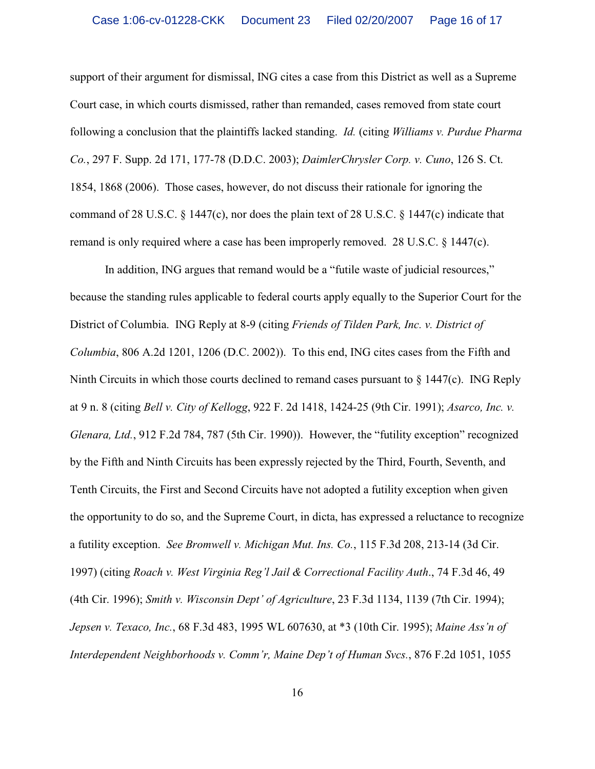support of their argument for dismissal, ING cites a case from this District as well as a Supreme Court case, in which courts dismissed, rather than remanded, cases removed from state court following a conclusion that the plaintiffs lacked standing. *Id.* (citing *Williams v. Purdue Pharma Co.*, 297 F. Supp. 2d 171, 177-78 (D.D.C. 2003); *DaimlerChrysler Corp. v. Cuno*, 126 S. Ct. 1854, 1868 (2006). Those cases, however, do not discuss their rationale for ignoring the command of 28 U.S.C. § 1447(c), nor does the plain text of 28 U.S.C. § 1447(c) indicate that remand is only required where a case has been improperly removed. 28 U.S.C. § 1447(c).

In addition, ING argues that remand would be a "futile waste of judicial resources," because the standing rules applicable to federal courts apply equally to the Superior Court for the District of Columbia. ING Reply at 8-9 (citing *Friends of Tilden Park, Inc. v. District of Columbia*, 806 A.2d 1201, 1206 (D.C. 2002)). To this end, ING cites cases from the Fifth and Ninth Circuits in which those courts declined to remand cases pursuant to  $\S 1447(c)$ . ING Reply at 9 n. 8 (citing *Bell v. City of Kellogg*, 922 F. 2d 1418, 1424-25 (9th Cir. 1991); *Asarco, Inc. v. Glenara, Ltd.*, 912 F.2d 784, 787 (5th Cir. 1990)). However, the "futility exception" recognized by the Fifth and Ninth Circuits has been expressly rejected by the Third, Fourth, Seventh, and Tenth Circuits, the First and Second Circuits have not adopted a futility exception when given the opportunity to do so, and the Supreme Court, in dicta, has expressed a reluctance to recognize a futility exception. *See Bromwell v. Michigan Mut. Ins. Co.*, 115 F.3d 208, 213-14 (3d Cir. 1997) (citing *Roach v. West Virginia Reg'l Jail & Correctional Facility Auth*., 74 F.3d 46, 49 (4th Cir. 1996); *Smith v. Wisconsin Dept' of Agriculture*, 23 F.3d 1134, 1139 (7th Cir. 1994); *Jepsen v. Texaco, Inc.*, 68 F.3d 483, 1995 WL 607630, at \*3 (10th Cir. 1995); *Maine Ass'n of Interdependent Neighborhoods v. Comm'r, Maine Dep't of Human Svcs.*, 876 F.2d 1051, 1055